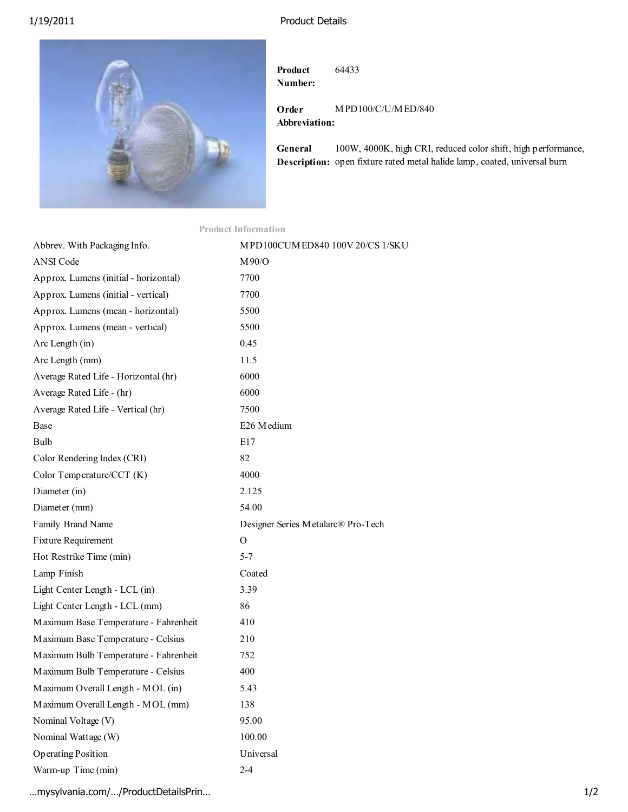## 1/19/2011 Product Details



**Product Number:** 64433

**Order Abbreviation:** MPD100/C/U/MED/840

**General Description:** open fixture rated metal halide lamp, coated, universal burn 100W, 4000K, high CRI, reduced color shift, high performance,

| <b>Product Information</b>            |                                    |
|---------------------------------------|------------------------------------|
| Abbrev. With Packaging Info.          | MPD100CUMED840 100V 20/CS 1/SKU    |
| <b>ANSI Code</b>                      | M90/O                              |
| Approx. Lumens (initial - horizontal) | 7700                               |
| Approx. Lumens (initial - vertical)   | 7700                               |
| Approx. Lumens (mean - horizontal)    | 5500                               |
| Approx. Lumens (mean - vertical)      | 5500                               |
| Arc Length (in)                       | 0.45                               |
| Arc Length (mm)                       | 11.5                               |
| Average Rated Life - Horizontal (hr)  | 6000                               |
| Average Rated Life - (hr)             | 6000                               |
| Average Rated Life - Vertical (hr)    | 7500                               |
| Base                                  | E26 Medium                         |
| <b>Bulb</b>                           | E17                                |
| Color Rendering Index (CRI)           | 82                                 |
| Color Temperature/CCT (K)             | 4000                               |
| Diameter (in)                         | 2.125                              |
| Diameter (mm)                         | 54.00                              |
| Family Brand Name                     | Designer Series Metalarc® Pro-Tech |
| Fixture Requirement                   | $\Omega$                           |
| Hot Restrike Time (min)               | $5 - 7$                            |
| Lamp Finish                           | Coated                             |
| Light Center Length - LCL (in)        | 3.39                               |
| Light Center Length - LCL (mm)        | 86                                 |
| Maximum Base Temperature - Fahrenheit | 410                                |
| Maximum Base Temperature - Celsius    | 210                                |
| Maximum Bulb Temperature - Fahrenheit | 752                                |
| Maximum Bulb Temperature - Celsius    | 400                                |
| Maximum Overall Length - MOL (in)     | 5.43                               |
| Maximum Overall Length - MOL (mm)     | 138                                |
| Nominal Voltage (V)                   | 95.00                              |
| Nominal Wattage (W)                   | 100.00                             |
| <b>Operating Position</b>             | Universal                          |
| Warm-up Time (min)                    | $2-4$                              |

…mysylvania.com/…/ProductDetailsPrin… 1/2